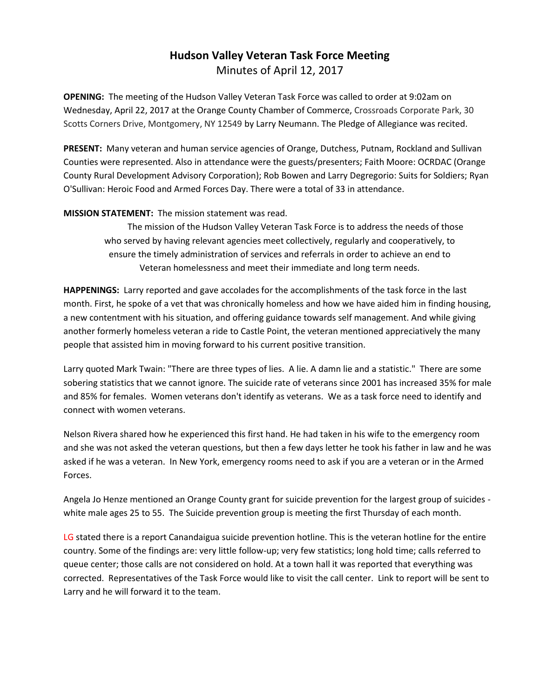# **Hudson Valley Veteran Task Force Meeting**  Minutes of April 12, 2017

**OPENING:** The meeting of the Hudson Valley Veteran Task Force was called to order at 9:02am on Wednesday, April 22, 2017 at the Orange County Chamber of Commerce, Crossroads Corporate Park, 30 Scotts Corners Drive, Montgomery, NY 12549 by Larry Neumann. The Pledge of Allegiance was recited.

**PRESENT:** Many veteran and human service agencies of Orange, Dutchess, Putnam, Rockland and Sullivan Counties were represented. Also in attendance were the guests/presenters; Faith Moore: OCRDAC (Orange County Rural Development Advisory Corporation); Rob Bowen and Larry Degregorio: Suits for Soldiers; Ryan O'Sullivan: Heroic Food and Armed Forces Day. There were a total of 33 in attendance.

## **MISSION STATEMENT:** The mission statement was read.

The mission of the Hudson Valley Veteran Task Force is to address the needs of those who served by having relevant agencies meet collectively, regularly and cooperatively, to ensure the timely administration of services and referrals in order to achieve an end to Veteran homelessness and meet their immediate and long term needs.

**HAPPENINGS:** Larry reported and gave accolades for the accomplishments of the task force in the last month. First, he spoke of a vet that was chronically homeless and how we have aided him in finding housing, a new contentment with his situation, and offering guidance towards self management. And while giving another formerly homeless veteran a ride to Castle Point, the veteran mentioned appreciatively the many people that assisted him in moving forward to his current positive transition.

Larry quoted Mark Twain: "There are three types of lies. A lie. A damn lie and a statistic." There are some sobering statistics that we cannot ignore. The suicide rate of veterans since 2001 has increased 35% for male and 85% for females. Women veterans don't identify as veterans. We as a task force need to identify and connect with women veterans.

Nelson Rivera shared how he experienced this first hand. He had taken in his wife to the emergency room and she was not asked the veteran questions, but then a few days letter he took his father in law and he was asked if he was a veteran. In New York, emergency rooms need to ask if you are a veteran or in the Armed Forces.

Angela Jo Henze mentioned an Orange County grant for suicide prevention for the largest group of suicides white male ages 25 to 55. The Suicide prevention group is meeting the first Thursday of each month.

LG stated there is a report Canandaigua suicide prevention hotline. This is the veteran hotline for the entire country. Some of the findings are: very little follow-up; very few statistics; long hold time; calls referred to queue center; those calls are not considered on hold. At a town hall it was reported that everything was corrected. Representatives of the Task Force would like to visit the call center. Link to report will be sent to Larry and he will forward it to the team.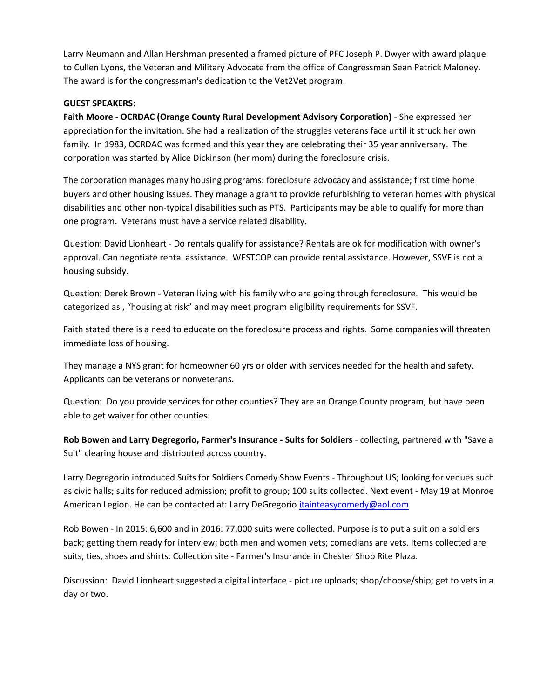Larry Neumann and Allan Hershman presented a framed picture of PFC Joseph P. Dwyer with award plaque to Cullen Lyons, the Veteran and Military Advocate from the office of Congressman Sean Patrick Maloney. The award is for the congressman's dedication to the Vet2Vet program.

#### **GUEST SPEAKERS:**

**Faith Moore - OCRDAC (Orange County Rural Development Advisory Corporation)** - She expressed her appreciation for the invitation. She had a realization of the struggles veterans face until it struck her own family. In 1983, OCRDAC was formed and this year they are celebrating their 35 year anniversary. The corporation was started by Alice Dickinson (her mom) during the foreclosure crisis.

The corporation manages many housing programs: foreclosure advocacy and assistance; first time home buyers and other housing issues. They manage a grant to provide refurbishing to veteran homes with physical disabilities and other non-typical disabilities such as PTS. Participants may be able to qualify for more than one program. Veterans must have a service related disability.

Question: David Lionheart - Do rentals qualify for assistance? Rentals are ok for modification with owner's approval. Can negotiate rental assistance. WESTCOP can provide rental assistance. However, SSVF is not a housing subsidy.

Question: Derek Brown - Veteran living with his family who are going through foreclosure. This would be categorized as , "housing at risk" and may meet program eligibility requirements for SSVF.

Faith stated there is a need to educate on the foreclosure process and rights. Some companies will threaten immediate loss of housing.

They manage a NYS grant for homeowner 60 yrs or older with services needed for the health and safety. Applicants can be veterans or nonveterans.

Question: Do you provide services for other counties? They are an Orange County program, but have been able to get waiver for other counties.

**Rob Bowen and Larry Degregorio, Farmer's Insurance - Suits for Soldiers** - collecting, partnered with "Save a Suit" clearing house and distributed across country.

Larry Degregorio introduced Suits for Soldiers Comedy Show Events - Throughout US; looking for venues such as civic halls; suits for reduced admission; profit to group; 100 suits collected. Next event - May 19 at Monroe American Legion. He can be contacted at: Larry DeGregorio [itainteasycomedy@aol.com](mailto:itainteasycomedy@aol.com)

Rob Bowen - In 2015: 6,600 and in 2016: 77,000 suits were collected. Purpose is to put a suit on a soldiers back; getting them ready for interview; both men and women vets; comedians are vets. Items collected are suits, ties, shoes and shirts. Collection site - Farmer's Insurance in Chester Shop Rite Plaza.

Discussion: David Lionheart suggested a digital interface - picture uploads; shop/choose/ship; get to vets in a day or two.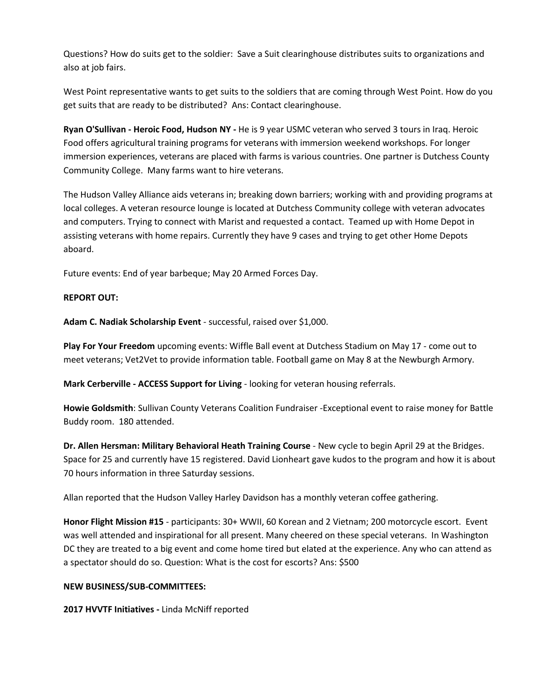Questions? How do suits get to the soldier: Save a Suit clearinghouse distributes suits to organizations and also at job fairs.

West Point representative wants to get suits to the soldiers that are coming through West Point. How do you get suits that are ready to be distributed? Ans: Contact clearinghouse.

**Ryan O'Sullivan - Heroic Food, Hudson NY -** He is 9 year USMC veteran who served 3 tours in Iraq. Heroic Food offers agricultural training programs for veterans with immersion weekend workshops. For longer immersion experiences, veterans are placed with farms is various countries. One partner is Dutchess County Community College. Many farms want to hire veterans.

The Hudson Valley Alliance aids veterans in; breaking down barriers; working with and providing programs at local colleges. A veteran resource lounge is located at Dutchess Community college with veteran advocates and computers. Trying to connect with Marist and requested a contact. Teamed up with Home Depot in assisting veterans with home repairs. Currently they have 9 cases and trying to get other Home Depots aboard.

Future events: End of year barbeque; May 20 Armed Forces Day.

#### **REPORT OUT:**

**Adam C. Nadiak Scholarship Event** - successful, raised over \$1,000.

**Play For Your Freedom** upcoming events: Wiffle Ball event at Dutchess Stadium on May 17 - come out to meet veterans; Vet2Vet to provide information table. Football game on May 8 at the Newburgh Armory.

**Mark Cerberville - ACCESS Support for Living** - looking for veteran housing referrals.

**Howie Goldsmith**: Sullivan County Veterans Coalition Fundraiser -Exceptional event to raise money for Battle Buddy room. 180 attended.

**Dr. Allen Hersman: Military Behavioral Heath Training Course** - New cycle to begin April 29 at the Bridges. Space for 25 and currently have 15 registered. David Lionheart gave kudos to the program and how it is about 70 hours information in three Saturday sessions.

Allan reported that the Hudson Valley Harley Davidson has a monthly veteran coffee gathering.

**Honor Flight Mission #15** - participants: 30+ WWII, 60 Korean and 2 Vietnam; 200 motorcycle escort. Event was well attended and inspirational for all present. Many cheered on these special veterans. In Washington DC they are treated to a big event and come home tired but elated at the experience. Any who can attend as a spectator should do so. Question: What is the cost for escorts? Ans: \$500

#### **NEW BUSINESS/SUB-COMMITTEES:**

**2017 HVVTF Initiatives -** Linda McNiff reported